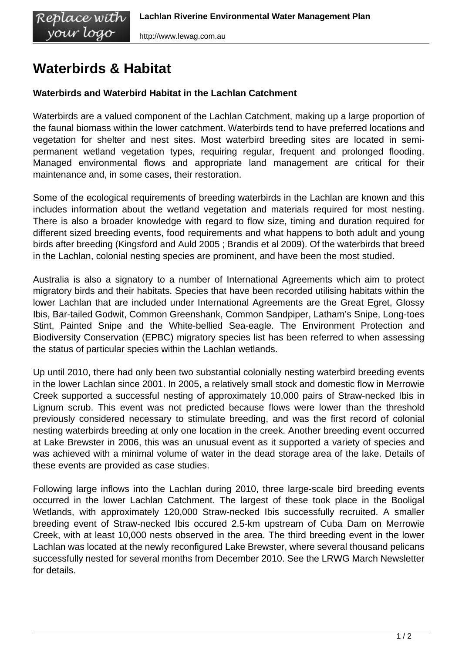## **Waterbirds & Habitat**

Replace with<br>your logo

## **Waterbirds and Waterbird Habitat in the Lachlan Catchment**

Waterbirds are a valued component of the Lachlan Catchment, making up a large proportion of the faunal biomass within the lower catchment. Waterbirds tend to have preferred locations and vegetation for shelter and nest sites. Most waterbird breeding sites are located in semipermanent wetland vegetation types, requiring regular, frequent and prolonged flooding. Managed environmental flows and appropriate land management are critical for their maintenance and, in some cases, their restoration.

Some of the ecological requirements of breeding waterbirds in the Lachlan are known and this includes information about the wetland vegetation and materials required for most nesting. There is also a broader knowledge with regard to flow size, timing and duration required for different sized breeding events, food requirements and what happens to both adult and young birds after breeding (Kingsford and Auld 2005 ; Brandis et al 2009). Of the waterbirds that breed in the Lachlan, colonial nesting species are prominent, and have been the most studied.

Australia is also a signatory to a number of International Agreements which aim to protect migratory birds and their habitats. Species that have been recorded utilising habitats within the lower Lachlan that are included under International Agreements are the Great Egret, Glossy Ibis, Bar-tailed Godwit, Common Greenshank, Common Sandpiper, Latham's Snipe, Long-toes Stint, Painted Snipe and the White-bellied Sea-eagle. The Environment Protection and Biodiversity Conservation (EPBC) migratory species list has been referred to when assessing the status of particular species within the Lachlan wetlands.

Up until 2010, there had only been two substantial colonially nesting waterbird breeding events in the lower Lachlan since 2001. In 2005, a relatively small stock and domestic flow in Merrowie Creek supported a successful nesting of approximately 10,000 pairs of Straw-necked Ibis in Lignum scrub. This event was not predicted because flows were lower than the threshold previously considered necessary to stimulate breeding, and was the first record of colonial nesting waterbirds breeding at only one location in the creek. Another breeding event occurred at Lake Brewster in 2006, this was an unusual event as it supported a variety of species and was achieved with a minimal volume of water in the dead storage area of the lake. Details of these events are provided as case studies.

Following large inflows into the Lachlan during 2010, three large-scale bird breeding events occurred in the lower Lachlan Catchment. The largest of these took place in the Booligal Wetlands, with approximately 120,000 Straw-necked Ibis successfully recruited. A smaller breeding event of Straw-necked Ibis occured 2.5-km upstream of Cuba Dam on Merrowie Creek, with at least 10,000 nests observed in the area. The third breeding event in the lower Lachlan was located at the newly reconfigured Lake Brewster, where several thousand pelicans successfully nested for several months from December 2010. See the LRWG March Newsletter for details.